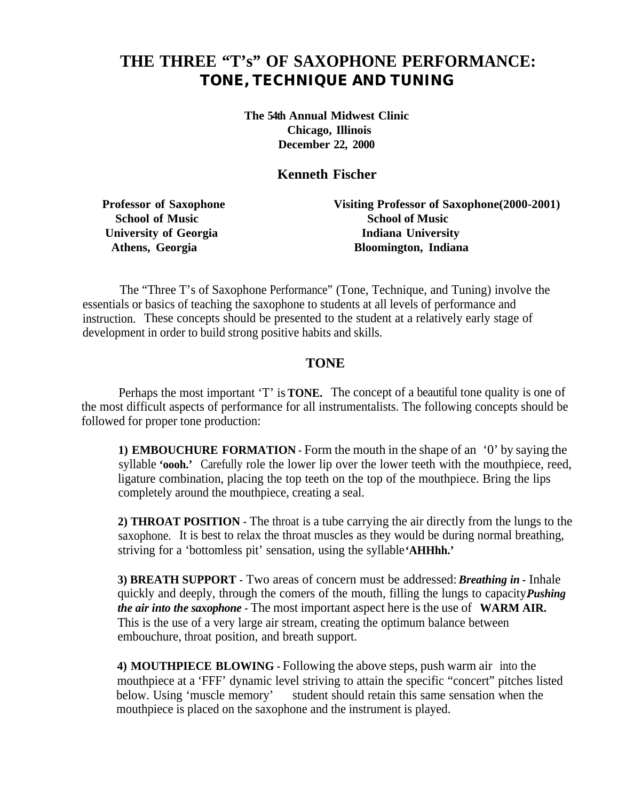# **THE THREE "T's" OF SAXOPHONE PERFORMANCE:** *TONE, TECHNIQUE AND TUNING*

**The 54th Annual Midwest Clinic Chicago, Illinois December 22, 2000**

**Kenneth Fischer**

**Professor of Saxophone Visiting Professor of Saxophone(2000-2001) School of Music School of Music University of Georgia Indiana University Athens, Georgia Bloomington, Indiana**

The "Three T's of Saxophone Performance" (Tone, Technique, and Tuning) involve the essentials or basics of teaching the saxophone to students at all levels of performance and instruction. These concepts should be presented to the student at a relatively early stage of development in order to build strong positive habits and skills.

### **TONE**

Perhaps the most important 'T' is **TONE.** The concept of a beautiful tone quality is one of the most difficult aspects of performance for all instrumentalists. The following concepts should be followed for proper tone production:

**1) EMBOUCHURE FORMATION -** Form the mouth in the shape of an '0' by saying the syllable **'oooh.'** Carefully role the lower lip over the lower teeth with the mouthpiece, reed, ligature combination, placing the top teeth on the top of the mouthpiece. Bring the lips completely around the mouthpiece, creating a seal.

**2) THROAT POSITION -** The throat is a tube carrying the air directly from the lungs to the saxophone. It is best to relax the throat muscles as they would be during normal breathing, striving for a 'bottomless pit' sensation, using the syllable **'AHHhh.'**

**3) BREATH SUPPORT -** Two areas of concern must be addressed: *Breathing in -* Inhale quickly and deeply, through the comers of the mouth, filling the lungs to capacity *Pushing the air into the saxophone -* The most important aspect here is the use of **WARM AIR.** This is the use of a very large air stream, creating the optimum balance between embouchure, throat position, and breath support.

**4) MOUTHPIECE BLOWING -** Following the above steps, push warm air into the mouthpiece at a 'FFF' dynamic level striving to attain the specific "concert" pitches listed below. Using 'muscle memory' student should retain this same sensation when the mouthpiece is placed on the saxophone and the instrument is played.